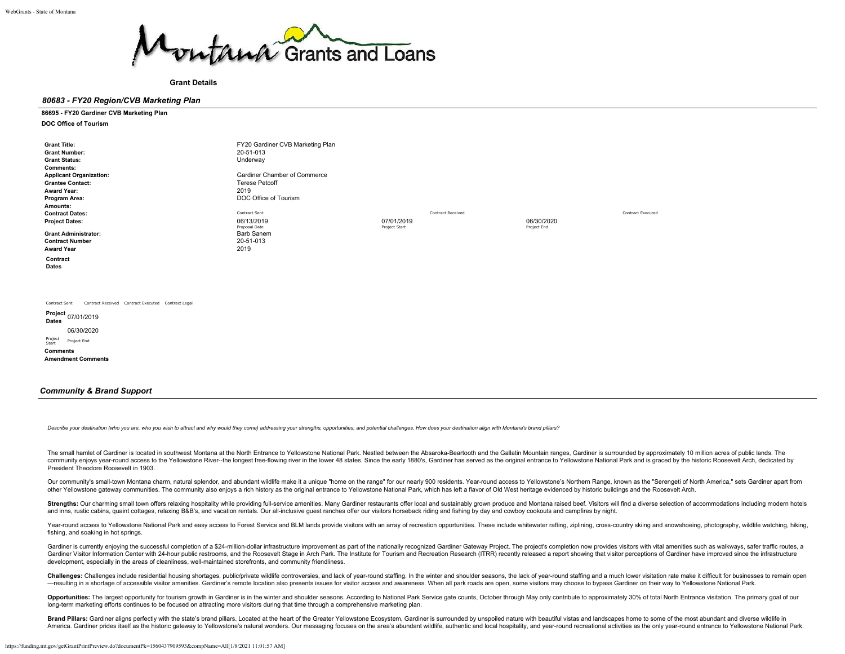

**Grant Details**

#### *80683 - FY20 Region/CVB Marketing Plan*

#### **86695 - FY20 Gardiner CVB Marketing Plan**

**DOC Office of Tourism**

| <b>Grant Title:</b>                                                 | FY20 Gardiner CVB Marketing Plan |                          |             |                          |
|---------------------------------------------------------------------|----------------------------------|--------------------------|-------------|--------------------------|
| <b>Grant Number:</b>                                                | 20-51-013                        |                          |             |                          |
| <b>Grant Status:</b>                                                | Underway                         |                          |             |                          |
| <b>Comments:</b>                                                    |                                  |                          |             |                          |
| <b>Applicant Organization:</b>                                      | Gardiner Chamber of Commerce     |                          |             |                          |
| <b>Grantee Contact:</b>                                             | <b>Terese Petcoff</b>            |                          |             |                          |
| <b>Award Year:</b>                                                  | 2019                             |                          |             |                          |
| Program Area:                                                       | DOC Office of Tourism            |                          |             |                          |
| Amounts:                                                            |                                  |                          |             |                          |
| <b>Contract Dates:</b>                                              | Contract Sent                    | <b>Contract Received</b> |             | <b>Contract Executed</b> |
| <b>Project Dates:</b>                                               | 06/13/2019                       | 07/01/2019               | 06/30/2020  |                          |
|                                                                     | Proposal Date                    | Project Start            | Project End |                          |
| <b>Grant Administrator:</b>                                         | Barb Sanem                       |                          |             |                          |
| <b>Contract Number</b>                                              | 20-51-013                        |                          |             |                          |
| <b>Award Year</b>                                                   | 2019                             |                          |             |                          |
| Contract                                                            |                                  |                          |             |                          |
| Dates                                                               |                                  |                          |             |                          |
|                                                                     |                                  |                          |             |                          |
|                                                                     |                                  |                          |             |                          |
|                                                                     |                                  |                          |             |                          |
|                                                                     |                                  |                          |             |                          |
| Contract Received Contract Executed Contract Legal<br>Contract Sent |                                  |                          |             |                          |
| Project                                                             |                                  |                          |             |                          |

**Project Dates** 07/01/2019 06/30/2020

Project Start Project End **Comments Amendment Comments**

# *Community & Brand Support*

Describe your destination (who you are, who you wish to attract and why would they come) addressing your strengths, opportunities, and potential challenges. How does your destination align with Montana's brand pillars?

The small hamlet of Gardiner is located in southwest Montana at the North Entrance to Yellowstone National Park. Nestled between the Absaroka-Beartooth and the Gallatin Mountain ranges, Gardiner is surrounded by approximat community enjoys year-round access to the Yellowstone River--the longest free-flowing river in the lower 48 states. Since the early 1880's, Gardiner has served as the original entrance to Yellowstone National Park and is g President Theodore Roosevelt in 1903.

Our community's small-town Montana charm, natural splendor, and abundant wildlife make it a unique "home on the range" for our nearly 900 residents. Year-round access to Yellowstone's Northern Range, known as the "Serenget other Yellowstone gateway communities. The community also enjoys a rich history as the original entrance to Yellowstone National Park, which has left a flavor of Old West heritage evidenced by historic buildings and the Ro

Strengths: Our charming small town offers relaxing hospitality while providing full-service amenities. Many Gardiner restaurants offer local and sustainably grown produce and Montana raised beef. Visitors will find a diver and inns, rustic cabins, quaint cottages, relaxing B&B's, and vacation rentals. Our all-inclusive guest ranches offer our visitors horseback riding and fishing by day and cowboy cookouts and campfires by night.

Year-round access to Yellowstone National Park and easy access to Forest Service and BLM lands provide visitors with an array of recreation opportunities. These include whitewater rafting, ziplining, cross-country skiing a fishing, and soaking in hot springs.

Gardiner is currently enjoying the successful completion of a \$24-million-dollar infrastructure improvement as part of the nationally recognized Gardiner Gateway Project. The project's completion now provides visitors with Gardiner Visitor Information Center with 24-hour public restrooms, and the Roosevelt Stage in Arch Park. The Institute for Tourism and Recreation Research (ITRR) recently released a report showing that visitor perceptions development, especially in the areas of cleanliness, well-maintained storefronts, and community friendliness.

Challenges: Challenges include residential housing shortages, public/private wildlife controversies, and lack of year-round staffing. In the winter and shoulder seasons, the lack of year-round staffing and a much lower vis -resulting in a shortage of accessible visitor amenities. Gardiner's remote location also presents issues for visitor access and awareness. When all park roads are open, some visitors may choose to bypass Gardiner on their

Opportunities: The largest opportunity for tourism growth in Gardiner is in the winter and shoulder seasons. According to National Park Service gate counts, October through May only contribute to approximately 30% of total long-term marketing efforts continues to be focused on attracting more visitors during that time through a comprehensive marketing plan.

Brand Pillars: Gardiner aligns perfectly with the state's brand pillars. Located at the heart of the Greater Yellowstone Ecosystem, Gardiner is surrounded by unspoiled nature with beautiful vistas and landscapes home to so America. Gardiner prides itself as the historic gateway to Yellowstone's natural wonders. Our messaging focuses on the area's abundant wildlife, authentic and local hospitality, and year-round recreational activities as th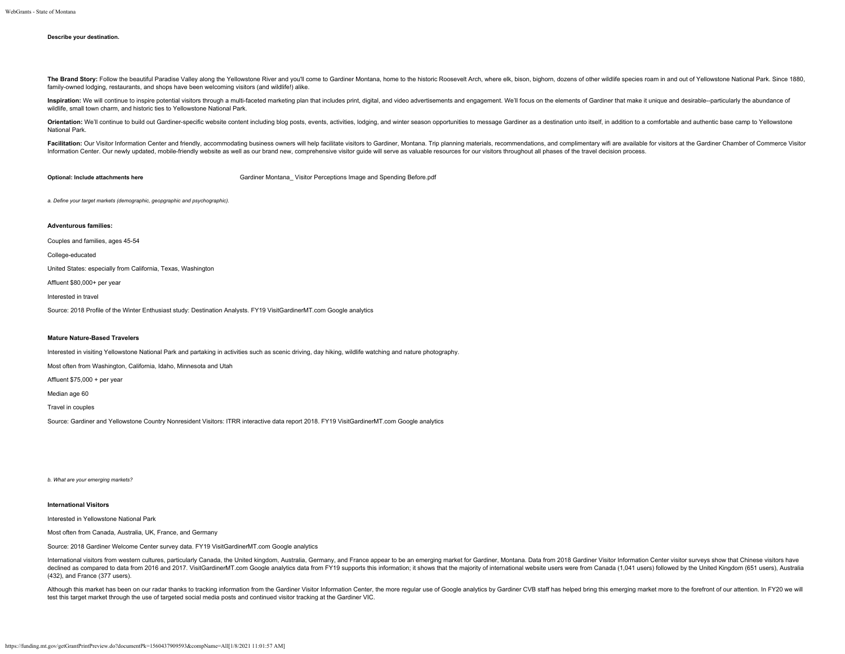#### **Describe your destination.**

The Brand Story: Follow the beautiful Paradise Valley along the Yellowstone River and you'll come to Gardiner Montana, home to the historic Roosevelt Arch, where elk, bison, bighorn, dozens of other wildlife species roam i family-owned lodging, restaurants, and shops have been welcoming visitors (and wildlife!) alike.

Inspiration: We will continue to inspire potential visitors through a multi-faceted marketing plan that includes print, digital, and video advertisements and engagement. We'll focus on the elements of Gardiner that make it wildlife, small town charm, and historic ties to Yellowstone National Park.

Orientation: We'll continue to build out Gardiner-specific website content including blog posts, events, activities, lodging, and winter season opportunities to message Gardiner as a destination unto itself, in addition to National Park.

Facilitation: Our Visitor Information Center and friendly, accommodating business owners will help facilitate visitors to Gardiner, Montana. Trip planning materials, recommendations, and complimentary wifi are available fo Information Center. Our newly updated, mobile-friendly website as well as our brand new, comprehensive visitor guide will serve as valuable resources for our visitors throughout all phases of the travel decision process.

**Optional: Include attachments here** Gardiner Montana Visitor Perceptions Image and Spending Before.pdf

*a. Define your target markets (demographic, geopgraphic and psychographic).*

#### **Adventurous families:**

Couples and families, ages 45-54

College-educated

United States: especially from California, Texas, Washington

Affluent \$80,000+ per year

Interested in travel

Source: 2018 Profile of the Winter Enthusiast study: Destination Analysts. FY19 VisitGardinerMT.com Google analytics

### **Mature Nature-Based Travelers**

Interested in visiting Yellowstone National Park and partaking in activities such as scenic driving, day hiking, wildlife watching and nature photography.

Most often from Washington, California, Idaho, Minnesota and Utah

Affluent \$75,000 + per year

Median age 60

Travel in couples

Source: Gardiner and Yellowstone Country Nonresident Visitors: ITRR interactive data report 2018. FY19 VisitGardinerMT.com Google analytics

*b. What are your emerging markets?*

### **International Visitors**

Interested in Yellowstone National Park

Most often from Canada, Australia, UK, France, and Germany

Source: 2018 Gardiner Welcome Center survey data. FY19 VisitGardinerMT.com Google analytics

International visitors from western cultures, particularly Canada, the United kingdom, Australia, Germany, and France appear to be an emerging market for Gardiner, Montana. Data from 2018 Gardiner Visitor Information Cente declined as compared to data from 2016 and 2017. VisitGardinerMT.com Google analytics data from FY19 supports this information; it shows that the majority of international website users were from Canada (1,041 users) follo (432), and France (377 users).

Although this market has been on our radar thanks to tracking information from the Gardiner Visitor Information Center, the more regular use of Google analytics by Gardiner CVB staff has helped bring this emerging market m test this target market through the use of targeted social media posts and continued visitor tracking at the Gardiner VIC.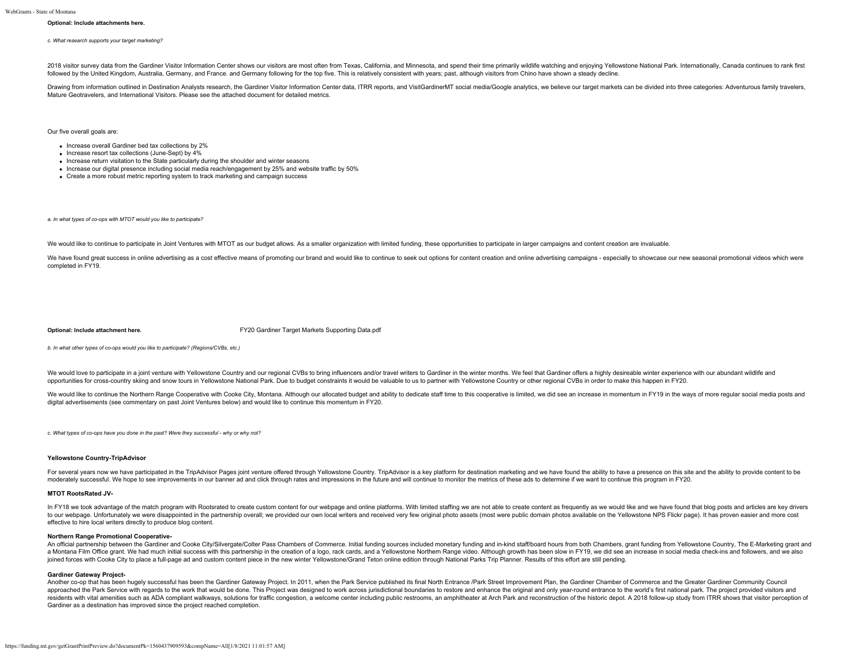#### **Optional: Include attachments here.**

*c. What research supports your target marketing?*

2018 visitor survey data from the Gardiner Visitor Information Center shows our visitors are most often from Texas. California, and Minnesota, and spend their time primarily wildlife watching and enioving Yellowstone Natio followed by the United Kingdom, Australia, Germany, and France. and Germany following for the top five. This is relatively consistent with years; past, although visitors from Chino have shown a steady decline.

Drawing from information outlined in Destination Analysts research, the Gardiner Visitor Information Center data, ITRR reports, and VisitGardinerMT social media/Google analytics, we believe our target markets can be divide Mature Geotravelers, and International Visitors. Please see the attached document for detailed metrics.

Our five overall goals are:

- Increase overall Gardiner bed tax collections by 2%
- $\bullet$  Increase resort tax collections (June-Sept) by  $4\%$
- Increase return visitation to the State particularly during the shoulder and winter seasons
- Increase our digital presence including social media reach/engagement by 25% and website traffic by 50%
- Create a more robust metric reporting system to track marketing and campaign success

*a. In what types of co-ops with MTOT would you like to participate?*

We would like to continue to participate in Joint Ventures with MTOT as our budget allows. As a smaller organization with limited funding, these opportunities to participate in larger campaigns and content creation are inv

We have found great success in online advertising as a cost effective means of promoting our brand and would like to continue to seek out options for content creation and online advertising campaigns - especially to showca completed in FY19.

**Optional: Include attachment here.** [FY20 Gardiner Target Markets Supporting Data.pdf](https://funding.mt.gov/fileDownload.jsp?filename=1554406282135_FY20+Gardiner+Target+Markets+Supporting+Data.pdf)

*b. In what other types of co-ops would you like to participate? (Regions/CVBs, etc.)*

We would love to participate in a joint venture with Yellowstone Country and our regional CVBs to bring influencers and/or travel writers to Gardiner in the winter months. We feel that Gardiner offers a highly desireable w opportunities for cross-country skiing and snow tours in Yellowstone National Park. Due to budget constraints it would be valuable to us to partner with Yellowstone Country or other regional CVBs in order to make this happ

We would like to continue the Northern Range Cooperative with Cooke City, Montana. Although our allocated budget and ability to dedicate staff time to this cooperative is limited, we did see an increase in momentum in FY19 digital advertisements (see commentary on past Joint Ventures below) and would like to continue this momentum in FY20.

*c. What types of co-ops have you done in the past? Were they successful - why or why not?*

#### **Yellowstone Country-TripAdvisor**

For several years now we have participated in the TripAdvisor Pages joint venture offered through Yellowstone Country. TripAdvisor is a key platform for destination marketing and we have found the ability to have a presenc moderately successful. We hope to see improvements in our banner ad and click through rates and impressions in the future and will continue to monitor the metrics of these ads to determine if we want to continue this progr

#### **MTOT RootsRated JV-**

In FY18 we took advantage of the match program with Rootsrated to create custom content for our webpage and online platforms. With limited staffing we are not able to create content as frequently as we would like and we ha to our webpage. Unfortunately we were disappointed in the partnership overall; we provided our own local writers and received very few original photo assets (most were public domain photos available on the Yellowstone NPS effective to hire local writers directly to produce blog content.

#### **Northern Range Promotional Cooperative-**

An official partnership between the Gardiner and Cooke City/Silvergate/Colter Pass Chambers of Commerce. Initial funding sources included monetary funding and in-kind staff/board hours from both Chambers, grant funding fro a Montana Film Office grant. We had much initial success with this partnership in the creation of a logo, rack cards, and a Yellowstone Northern Range video. Although growth has been slow in FY19, we did see an increase in joined forces with Cooke City to place a full-page ad and custom content piece in the new winter Yellowstone/Grand Teton online edition through National Parks Trip Planner. Results of this effort are still pending.

#### **Gardiner Gateway Project-**

Another co-op that has been hugely successful has been the Gardiner Gateway Project. In 2011, when the Park Service published its final North Entrance /Park Street Improvement Plan, the Gardiner Chamber of Commerce and the approached the Park Service with regards to the work that would be done. This Project was designed to work across jurisdictional boundaries to restore and enhance the original and only year-round entrance to the world's fi residents with vital amenities such as ADA compliant walkways, solutions for traffic congestion, a welcome center including public restrooms, an amphitheater at Arch Park and reconstruction of the historic depot. A 2018 fo Gardiner as a destination has improved since the project reached completion.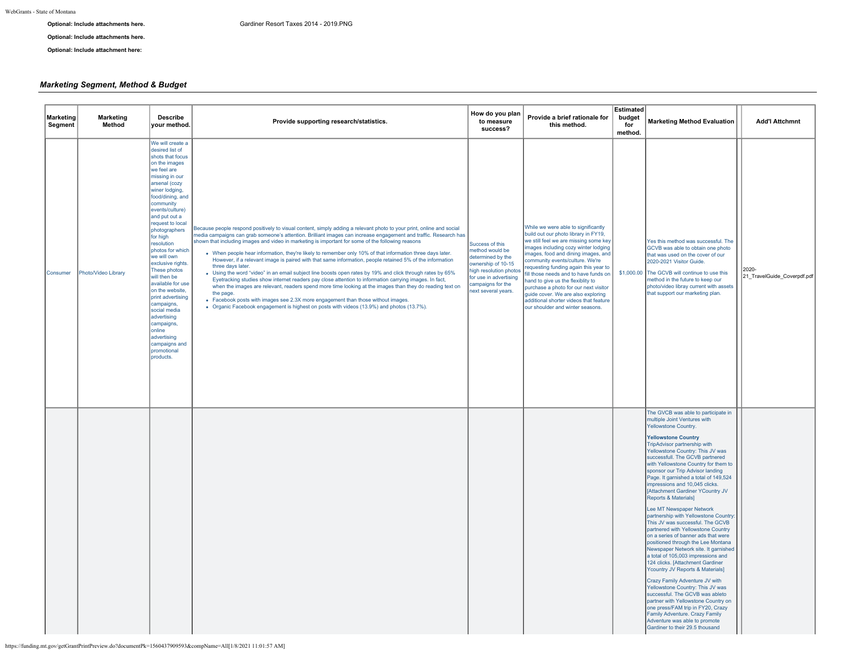**Optional: Include attachments here.**

**Optional: Include attachment here:**

# *Marketing Segment, Method & Budget*

| Marketing<br>Segment | <b>Marketing</b><br>Method | <b>Describe</b><br>your method.                                                                                                                                                                                                                                                                                                                                                                                                                                                                                                                                        | Provide supporting research/statistics.                                                                                                                                                                                                                                                                                                                                                                                                                                                                                                                                                                                                                                                                                                                                                                                                                                                                                                                                                                                                                                                                                      | How do you plan<br>to measure<br>success?                                                                                                                                     | Provide a brief rationale for<br>this method.                                                                                                                                                                                                                                                                                                                                                                                                                                                                           | <b>Estimated</b><br>budget<br>for<br>method. | <b>Marketing Method Evaluation</b>                                                                                                                                                                                                                                                                                                                                                                                                                                                                                                                                                                                                                                                                                                                                                                                                                                                                                                                                                                                                                                                                                               | <b>Add'l Attchmnt</b>                   |
|----------------------|----------------------------|------------------------------------------------------------------------------------------------------------------------------------------------------------------------------------------------------------------------------------------------------------------------------------------------------------------------------------------------------------------------------------------------------------------------------------------------------------------------------------------------------------------------------------------------------------------------|------------------------------------------------------------------------------------------------------------------------------------------------------------------------------------------------------------------------------------------------------------------------------------------------------------------------------------------------------------------------------------------------------------------------------------------------------------------------------------------------------------------------------------------------------------------------------------------------------------------------------------------------------------------------------------------------------------------------------------------------------------------------------------------------------------------------------------------------------------------------------------------------------------------------------------------------------------------------------------------------------------------------------------------------------------------------------------------------------------------------------|-------------------------------------------------------------------------------------------------------------------------------------------------------------------------------|-------------------------------------------------------------------------------------------------------------------------------------------------------------------------------------------------------------------------------------------------------------------------------------------------------------------------------------------------------------------------------------------------------------------------------------------------------------------------------------------------------------------------|----------------------------------------------|----------------------------------------------------------------------------------------------------------------------------------------------------------------------------------------------------------------------------------------------------------------------------------------------------------------------------------------------------------------------------------------------------------------------------------------------------------------------------------------------------------------------------------------------------------------------------------------------------------------------------------------------------------------------------------------------------------------------------------------------------------------------------------------------------------------------------------------------------------------------------------------------------------------------------------------------------------------------------------------------------------------------------------------------------------------------------------------------------------------------------------|-----------------------------------------|
| Consumer             | Photo/Video Library        | We will create a<br>desired list of<br>shots that focus<br>on the images<br>we feel are<br>missing in our<br>arsenal (cozy<br>winer lodging,<br>food/dining, and<br>community<br>events/culture)<br>and put out a<br>request to local<br>photographers<br>for high<br>resolution<br>photos for which<br>we will own<br>exclusive rights.<br>These photos<br>will then be<br>available for use<br>on the website,<br>print advertising<br>campaigns,<br>social media<br>advertising<br>campaigns,<br>online<br>advertising<br>campaigns and<br>promotional<br>products. | Because people respond positively to visual content, simply adding a relevant photo to your print, online and social<br>media campaigns can grab someone's attention. Brilliant images can increase engagement and traffic. Research has<br>shown that including images and video in marketing is important for some of the following reasons<br>. When people hear information, they're likely to remember only 10% of that information three days later.<br>However, if a relevant image is paired with that same information, people retained 5% of the information<br>three days later.<br>• Using the word "video" in an email subject line boosts open rates by 19% and click through rates by 65%<br>Eyetracking studies show internet readers pay close attention to information carrying images. In fact,<br>when the images are relevant, readers spend more time looking at the images than they do reading text on<br>the page.<br>• Facebook posts with images see 2.3X more engagement than those without images.<br>• Organic Facebook engagement is highest on posts with videos (13.9%) and photos (13.7%). | Success of this<br>method would be<br>determined by the<br>ownership of 10-15<br>high resolution photos<br>for use in advertising<br>campaigns for the<br>next several years. | While we were able to significantly<br>build out our photo library in FY19,<br>we still feel we are missing some key<br>mages including cozy winter lodging<br>mages, food and dining images, and<br>community events/culture. We're<br>requesting funding again this year to<br>fill those needs and to have funds on<br>and to give us the flexiblity to<br>purchase a photo for our next visitor<br>guide cover. We are also exploring<br>additional shorter videos that feature<br>our shoulder and winter seasons. |                                              | Yes this method was successful. The<br>GCVB was able to obtain one photo<br>that was used on the cover of our<br>2020-2021 Visitor Guide.<br>\$1,000.00 The GCVB will continue to use this<br>method in the future to keep our<br>photo/video libray current with assets<br>that support our marketing plan.                                                                                                                                                                                                                                                                                                                                                                                                                                                                                                                                                                                                                                                                                                                                                                                                                     | $2020 -$<br>21 TravelGuide Coverpdf.pdf |
|                      |                            |                                                                                                                                                                                                                                                                                                                                                                                                                                                                                                                                                                        |                                                                                                                                                                                                                                                                                                                                                                                                                                                                                                                                                                                                                                                                                                                                                                                                                                                                                                                                                                                                                                                                                                                              |                                                                                                                                                                               |                                                                                                                                                                                                                                                                                                                                                                                                                                                                                                                         |                                              | The GVCB was able to participate in<br>multiple Joint Ventures with<br>Yellowstone Country.<br><b>Yellowstone Country</b><br>TripAdvisor partnership with<br>Yellowstone Country: This JV was<br>successfull. The GCVB partnered<br>with Yellowstone Country for them to<br>sponsor our Trip Advisor landing<br>Page. It garnished a total of 149,524<br>impressions and 10,045 clicks.<br>[Attachment Gardiner YCountry JV<br>Reports & Materials]<br>Lee MT Newspaper Network<br>partnership with Yellowstone Country:<br>This JV was successful. The GCVB<br>partnered with Yellowstone Country<br>on a series of banner ads that were<br>positioned through the Lee Montana<br>Newspaper Network site. It garnished<br>a total of 105,003 impressions and<br>124 clicks. [Attachment Gardiner<br>Ycountry JV Reports & Materials]<br>Crazy Family Adventure JV with<br>Yellowstone Country: This JV was<br>successful. The GCVB was ableto<br>partner with Yellowstone Country on<br>one press/FAM trip in FY20, Crazy<br>Family Adventure. Crazy Family<br>Adventure was able to promote<br>Gardiner to their 29.5 thousand |                                         |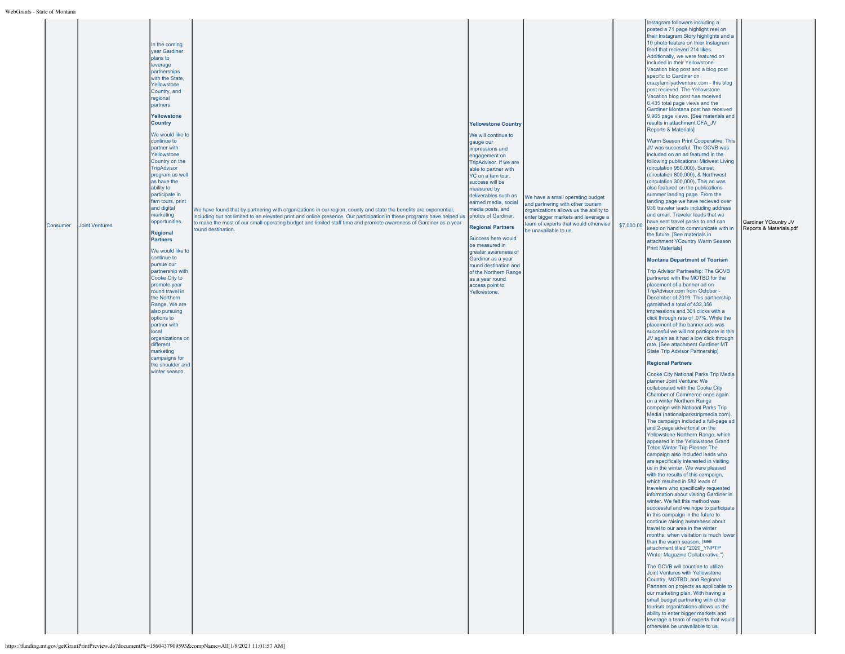|          |                       | In the coming<br>year Gardiner<br>blans to<br>everage<br>partnerships<br>with the State.<br>Yellowstone<br>Country, and<br>regional<br>partners.<br>Yellowstone<br>Country<br>We would like to<br>continue to<br>partner with<br>Yellowstone<br>Country on the<br><b>TripAdvisor</b><br>program as well |                                                                                                                                                                                                                                                                                                                                                                                        | <b>Yellowstone Country</b><br>We will continue to<br>gauge our<br>impressions and<br>engagement on<br>TripAdvisor. If we are<br>able to partner with<br>YC on a fam tour,                     |                                                                                                                                                                                                                         |            | Instagram followers including a<br>posted a 71 page highlight reel on<br>their Instagram Story highlights and a<br>10 photo feature on thier Instagram<br>feed that recieved 214 likes.<br>Additionally, we were featured on<br>included in their Yellowstone<br>Vacation blog post and a blog post<br>specific to Gardiner on<br>crazyfamilyadventure.com - this blog<br>post recieved. The Yellowstone<br>Vacation blog post has received<br>6,435 total page views and the<br>Gardiner Montana post has received<br>9,965 page views. [See materials and<br>results in attachment CFA_JV<br>Reports & Materials]<br>Warm Season Print Cooperative: This<br>JV was successful. The GCVB was<br>included on an ad featured in the<br>following publications: Midwest Living<br>(circulation 950,000), Sunset<br>(circulation 800,000), & Northwest                                                                                                                                                                                                                                                                                                                                                                                                                                                                                                                                                                                                                              |                                                 |
|----------|-----------------------|---------------------------------------------------------------------------------------------------------------------------------------------------------------------------------------------------------------------------------------------------------------------------------------------------------|----------------------------------------------------------------------------------------------------------------------------------------------------------------------------------------------------------------------------------------------------------------------------------------------------------------------------------------------------------------------------------------|-----------------------------------------------------------------------------------------------------------------------------------------------------------------------------------------------|-------------------------------------------------------------------------------------------------------------------------------------------------------------------------------------------------------------------------|------------|----------------------------------------------------------------------------------------------------------------------------------------------------------------------------------------------------------------------------------------------------------------------------------------------------------------------------------------------------------------------------------------------------------------------------------------------------------------------------------------------------------------------------------------------------------------------------------------------------------------------------------------------------------------------------------------------------------------------------------------------------------------------------------------------------------------------------------------------------------------------------------------------------------------------------------------------------------------------------------------------------------------------------------------------------------------------------------------------------------------------------------------------------------------------------------------------------------------------------------------------------------------------------------------------------------------------------------------------------------------------------------------------------------------------------------------------------------------------------------|-------------------------------------------------|
| Consumer | <b>Joint Ventures</b> | as have the<br>ability to<br>participate in<br>fam tours, print<br>and digital<br>marketing<br>opportunities.<br><b>Regional</b><br><b>Partners</b><br>We would like to                                                                                                                                 | We have found that by partnering with organizations in our region, county and state the benefits are exponential,<br>including but not limited to an elevated print and online presence. Our participation in these programs have helped us<br>to make the most of our small operating budget and limited staff time and promote awareness of Gardiner as a year<br>round destination. | success will be<br>measured by<br>deliverables such as<br>earned media, social<br>media posts, and<br>photos of Gardiner.<br><b>Regional Partners</b><br>Success here would<br>be measured in | We have a small operating budget<br>and partnering with other tourism<br>organizations allows us the ability to<br>enter bigger markets and leverage a<br>team of experts that would otherwise<br>be unavailable to us. | \$7,000.00 | (circulation 300,000). This ad was<br>also featured on the publications<br>summer landing page. From the<br>landing page we have recieved over<br>936 traveler leads including address<br>and email. Traveler leads that we<br>have sent travel packs to and can<br>keep on hand to communicate with in<br>the future. [See materials in<br>attachment YCountry Warm Season<br><b>Print Materials1</b>                                                                                                                                                                                                                                                                                                                                                                                                                                                                                                                                                                                                                                                                                                                                                                                                                                                                                                                                                                                                                                                                           | Gardiner YCountry JV<br>Reports & Materials.pdf |
|          |                       | continue to<br>pursue our<br>partnership with<br>Cooke City to<br>promote year<br>round travel in<br>the Northern<br>Range. We are<br>also pursuing<br>options to<br>partner with<br>local<br>organizations on<br>different<br>marketing                                                                |                                                                                                                                                                                                                                                                                                                                                                                        | greater awareness of<br>Gardiner as a year<br>round destination and<br>of the Northern Range<br>as a year round<br>access point to<br>Yellowstone.                                            |                                                                                                                                                                                                                         |            | <b>Montana Department of Tourism</b><br>Trip Advisor Partneship: The GCVB<br>partnered with the MOTBD for the<br>placement of a banner ad on<br>TripAdvisor.com from October -<br>December of 2019. This partnership<br>garnished a total of 432,356<br>impressions and 301 clicks with a<br>click through rate of .07%. While the<br>placement of the banner ads was<br>succesful we will not particpate in this<br>JV again as it had a low click through<br>rate. [See attachment Gardiner MT<br>State Trip Advisor Partnership]                                                                                                                                                                                                                                                                                                                                                                                                                                                                                                                                                                                                                                                                                                                                                                                                                                                                                                                                              |                                                 |
|          |                       | campaigns for<br>the shoulder and<br>winter season.                                                                                                                                                                                                                                                     |                                                                                                                                                                                                                                                                                                                                                                                        |                                                                                                                                                                                               |                                                                                                                                                                                                                         |            | <b>Regional Partners</b><br>Cooke City National Parks Trip Media<br>planner Joint Venture: We<br>collaborated with the Cooke City<br>Chamber of Commerce once again<br>on a winter Northern Range<br>campaign with National Parks Trip<br>Media (nationalparkstripmedia.com).<br>The campaign included a full-page ad<br>and 2-page advertorial on the<br>Yellowstone Northern Range, which<br>appeared in the Yellowstone Grand<br><b>Teton Winter Trip Planner The</b><br>campaign also included leads who<br>are specifically interested in visiting<br>us in the winter. We were pleased<br>with the results of this campaign,<br>which resulted in 582 leads of<br>travelers who specifically requested<br>nformation about visiting Gardiner in<br>winter. We felt this method was<br>successful and we hope to participate<br>in this campaign in the future to<br>continue raising awareness about<br>travel to our area in the winter<br>months, when visitation is much lower<br>than the warm season, (see<br>attachment titled "2020 YNPTP<br>Winter Magazine Collaborative.")<br>The GCVB will countine to utilize<br>Joint Ventures with Yellowstone<br>Country, MOTBD, and Regional<br>Partners on projects as applicable to<br>our marketing plan. With having a<br>small budget partnering with other<br>tourism organizations allows us the<br>ability to enter bigger markets and<br>leverage a team of experts that would<br>otherwise be unavailable to us. |                                                 |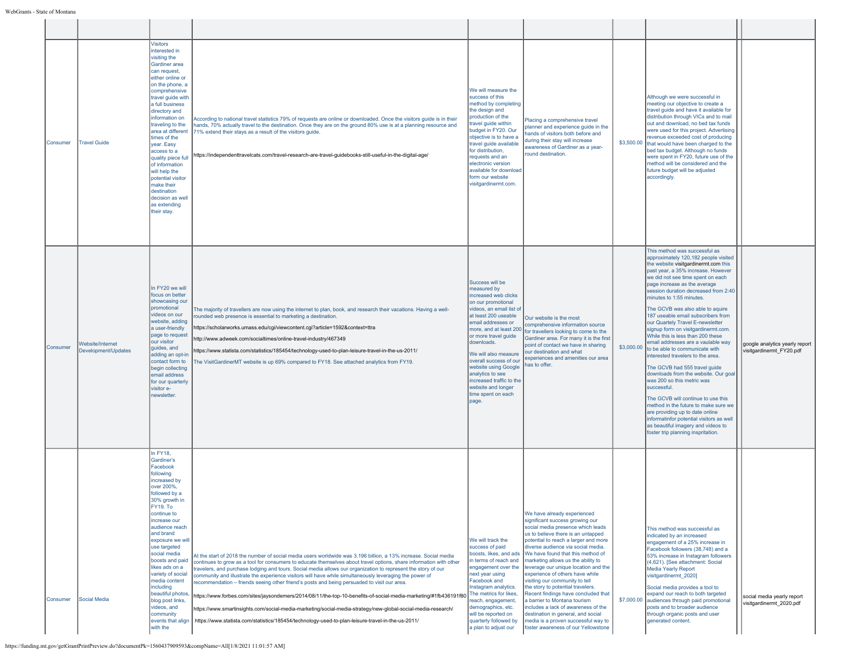|          | Consumer | <b>Travel Guide</b>                     | <b>Visitors</b><br>interested in<br>visiting the<br>Gardiner area<br>can request,<br>either online or<br>on the phone, a<br>comprehensive<br>travel guide with<br>a full business<br>directory and<br>information on<br>traveling to the<br>area at different<br>times of the<br>year. Easy<br>access to a<br>quality piece full<br>of information<br>will help the<br>potential visitor<br>make their<br>destination<br>decision as well<br>as extending<br>their stay. | According to national travel statistics 79% of requests are online or downloaded. Once the visitors quide is in their<br>hands, 70% actually travel to the destination. Once they are on the ground 80% use is at a planning resource and<br>71% extend their stays as a result of the visitors guide.<br>https://independenttravelcats.com/travel-research-are-travel-guidebooks-still-useful-in-the-digital-age/                                                                                                                                                                                                                                                                                                                                                                                                                                                                                                                           | We will measure the<br>success of this<br>method by completing<br>the design and<br>production of the<br>travel guide within<br>budget in FY20. Our<br>objective is to have a<br>travel quide available<br>for distribution.<br>requests and an<br>electronic version<br>available for download<br>form our website<br>visitgardinermt.com.                                                           | Placing a comprehensive travel<br>planner and experience guide in the<br>hands of visitors both before and<br>during their stay will increase<br>awareness of Gardiner as a year-<br>round destination.                                                                                                                                                                                                                                                                                                                                                                                                                                                                                |            | Although we were successful in<br>meeting our objective to create a<br>travel guide and have it available for<br>distribution through VICs and to mail<br>out and download, no bed tax funds<br>were used for this project. Advertising<br>revenue exceeded cost of producing<br>\$3,500.00 that would have been charged to the<br>bed tax budget. Although no funds<br>were spent in FY20, future use of the<br>method will be considered and the<br>future budget will be adjusted<br>accordingly.                                                                                                                                                                                                                                                                                                                                                                                                                                                               |                                                            |
|----------|----------|-----------------------------------------|--------------------------------------------------------------------------------------------------------------------------------------------------------------------------------------------------------------------------------------------------------------------------------------------------------------------------------------------------------------------------------------------------------------------------------------------------------------------------|----------------------------------------------------------------------------------------------------------------------------------------------------------------------------------------------------------------------------------------------------------------------------------------------------------------------------------------------------------------------------------------------------------------------------------------------------------------------------------------------------------------------------------------------------------------------------------------------------------------------------------------------------------------------------------------------------------------------------------------------------------------------------------------------------------------------------------------------------------------------------------------------------------------------------------------------|-------------------------------------------------------------------------------------------------------------------------------------------------------------------------------------------------------------------------------------------------------------------------------------------------------------------------------------------------------------------------------------------------------|----------------------------------------------------------------------------------------------------------------------------------------------------------------------------------------------------------------------------------------------------------------------------------------------------------------------------------------------------------------------------------------------------------------------------------------------------------------------------------------------------------------------------------------------------------------------------------------------------------------------------------------------------------------------------------------|------------|--------------------------------------------------------------------------------------------------------------------------------------------------------------------------------------------------------------------------------------------------------------------------------------------------------------------------------------------------------------------------------------------------------------------------------------------------------------------------------------------------------------------------------------------------------------------------------------------------------------------------------------------------------------------------------------------------------------------------------------------------------------------------------------------------------------------------------------------------------------------------------------------------------------------------------------------------------------------|------------------------------------------------------------|
| Consumer |          | Website/Internet<br>Development/Updates | In FY20 we will<br>focus on better<br>showcasing our<br>promotional<br>videos on our<br>website, adding<br>a user-friendly<br>page to request<br>our visitor<br>guides, and<br>adding an opt-in<br>contact form to<br>begin collecting<br>email address<br>for our quarterly<br>visitor e-<br>newsletter                                                                                                                                                                 | The majority of travellers are now using the internet to plan, book, and research their vacations. Having a well-<br>rounded web presence is essential to marketing a destination.<br>https://scholarworks.umass.edu/cgi/viewcontent.cgi?article=1592&context=ttra<br>http://www.adweek.com/socialtimes/online-travel-industry/467349<br>https://www.statista.com/statistics/185454/technology-used-to-plan-leisure-travel-in-the-us-2011/<br>The VisitGardinerMT website is up 69% compared to FY18. See attached analytics from FY19.                                                                                                                                                                                                                                                                                                                                                                                                      | Success will be<br>measured by<br>increased web clicks<br>on our promotional<br>videos, an email list of<br>at least 200 useable<br>email addresses or<br>more, and at least 200<br>or more travel guide<br>downloads.<br>We will also measure<br>overall success of our<br>website using Google<br>analytics to see<br>increased traffic to the<br>website and longer<br>time spent on each<br>page. | Our website is the most<br>comprehensive information source<br>for travellers looking to come to the<br>Gardiner area. For many it is the first<br>point of contact we have in sharing<br>our destination and what<br>experiences and amenities our area<br>has to offer.                                                                                                                                                                                                                                                                                                                                                                                                              | \$3,000.00 | This method was successful as<br>approximately 120,182 people visited<br>the website visitgardinermt.com this<br>past year, a 35% increase. However<br>we did not see time spent on each<br>page increase as the average<br>session duration decreased from 2:40<br>minutes to 1:55 minutes.<br>The GCVB was also able to aguire<br>187 useable email subscribers from<br>our Quartely Travel E-newsletter<br>signup form on visitgardinermt.com.<br>While this is less than 200 these<br>email addresses are a vaulable way<br>to be able to communicate with<br>interested travelers to the area.<br>The GCVB had 555 travel guide<br>downloads from the website. Our goal<br>was 200 so this metric was<br>successful.<br>The GCVB will continue to use this<br>method in the future to make sure we<br>are providing up to date online<br>informatinfor potential visitors as well<br>as beautiful imagery and videos to<br>foster trip planning inspritation. | google analytics yearly report<br>visitgardinermt FY20.pdf |
| Consumer |          | Social Media                            | <b>In FY18.</b><br>Gardiner's<br>Facebook<br>following<br>increased by<br>over 200%.<br>followed by a<br>30% growth in<br><b>FY19. To</b><br>continue to<br>increase our<br>audience reach<br>and brand<br>exposure we will<br>use targeted<br>social media<br>boosts and paid<br>likes ads on a<br>variety of social<br>media content<br>including<br>beautiful photos<br>blog post links,<br>videos, and<br>community<br>events that align<br>with the                 | At the start of 2018 the number of social media users worldwide was 3.196 billion, a 13% increase. Social media<br>continues to grow as a tool for consumers to educate themselves about travel options, share information with other<br>travelers, and purchase lodging and tours. Social media allows our organization to represent the story of our<br>community and illustrate the experience visitors will have while simultaneously leveraging the power of<br>recommendation - friends seeing other friend's posts and being persuaded to visit our area.<br>https://www.forbes.com/sites/jaysondemers/2014/08/11/the-top-10-benefits-of-social-media-marketing/#1fb436191f80│ <sup>The</sup> metrics for likes,<br>https://www.smartinsights.com/social-media-marketing/social-media-strategy/new-global-social-media-research/<br>https://www.statista.com/statistics/185454/technology-used-to-plan-leisure-travel-in-the-us-2011/ | We will track the<br>success of paid<br>boosts, likes, and ads<br>in terms of reach and<br>engagement over the<br>next year using<br>Facebook and<br>Instagram analytics.<br>reach, engagement,<br>demographics, etc.<br>will be reported on<br>quarterly followed by<br>a plan to adjust our                                                                                                         | We have already experienced<br>significant success growing our<br>social media presence which leads<br>us to believe there is an untapped<br>potential to reach a larger and more<br>diverse audience via social media.<br>We have found that this method of<br>marketing allows us the ability to<br>leverage our unique location and the<br>experience of others have while<br>visiting our community to tell<br>the story to potential travelers.<br>Recent findings have concluded that<br>a barrier to Montana tourism<br>includes a lack of awareness of the<br>destination in general, and social<br>media is a proven successful way to<br>foster awareness of our Yellowstone | \$7,000.00 | This method was successful as<br>indicated by an increased<br>engagement of a 25% increase in<br>Facebook followers (38.748) and a<br>53% increase in Instagram followers<br>(4,621). [See attachment: Social<br>Media Yearly Report<br>visitgardinermt 2020]<br>Social media provides a tool to<br>expand our reach to both targeted<br>audiences through paid promotional<br>posts and to broader audience<br>through organic posts and user<br>generated content.                                                                                                                                                                                                                                                                                                                                                                                                                                                                                               | social media yearly report<br>visitgardinermt_2020.pdf     |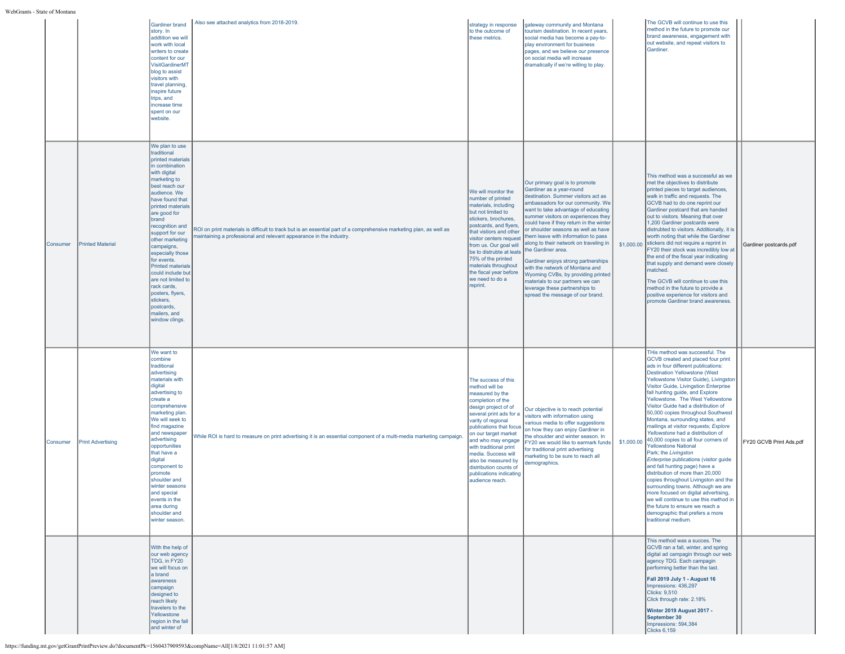|          |                          | Gardiner brand<br>story. In<br>addtition we will<br>work with local<br>writers to create<br>content for our<br>VisitGardinerMT<br>blog to assist<br>visitors with<br>travel planning.<br>inspire future<br>trips, and<br>increase time<br>spent on our<br>website.                                                                                                                                                                                                                               | Also see attached analytics from 2018-2019.                                                                                                                                                | strategy in response<br>to the outcome of<br>these metrics.                                                                                                                                                                                                                                                                                                                     | gateway community and Montana<br>tourism destination. In recent years,<br>social media has become a pay-to-<br>play environment for business<br>pages, and we believe our presence<br>on social media will increase<br>dramatically if we're willing to play.                                                                                                                                                                                                                                                                                                                                                                          |            | The GCVB will continue to use this<br>method in the future to promote our<br>brand awareness, engagement with<br>out website, and repeat visitors to<br>Gardiner.                                                                                                                                                                                                                                                                                                                                                                                                                                                                                                                                                                                                                                                                                                                                                                                                                         |                         |
|----------|--------------------------|--------------------------------------------------------------------------------------------------------------------------------------------------------------------------------------------------------------------------------------------------------------------------------------------------------------------------------------------------------------------------------------------------------------------------------------------------------------------------------------------------|--------------------------------------------------------------------------------------------------------------------------------------------------------------------------------------------|---------------------------------------------------------------------------------------------------------------------------------------------------------------------------------------------------------------------------------------------------------------------------------------------------------------------------------------------------------------------------------|----------------------------------------------------------------------------------------------------------------------------------------------------------------------------------------------------------------------------------------------------------------------------------------------------------------------------------------------------------------------------------------------------------------------------------------------------------------------------------------------------------------------------------------------------------------------------------------------------------------------------------------|------------|-------------------------------------------------------------------------------------------------------------------------------------------------------------------------------------------------------------------------------------------------------------------------------------------------------------------------------------------------------------------------------------------------------------------------------------------------------------------------------------------------------------------------------------------------------------------------------------------------------------------------------------------------------------------------------------------------------------------------------------------------------------------------------------------------------------------------------------------------------------------------------------------------------------------------------------------------------------------------------------------|-------------------------|
| Consumer | <b>Printed Material</b>  | We plan to use<br>traditional<br>printed materials<br>in combination<br>with digital<br>marketing to<br>best reach our<br>audience. We<br>have found that<br>printed materials<br>are good for<br><b>Ibrand</b><br>recognition and<br>support for our<br>other marketing<br>campaigns,<br>especially those<br>for events.<br><b>Printed materials</b><br>could include but<br>are not limited to<br>rack cards.<br>posters, flyers,<br>stickers,<br>postcards,<br>mailers, and<br>window clinas. | ROI on print materials is difficult to track but is an essential part of a comprehensive marketing plan, as well as<br>naintaining a professional and relevant appearance in the industry. | We will monitor the<br>number of printed<br>materials, including<br>but not limited to<br>stickers, brochures,<br>postcards, and flyers<br>that vistiors and other<br>visitor centers request<br>from us. Our goal will<br>be to distrubte at leats<br>75% of the printed<br>materials throughout<br>the fiscal year before<br>we need to do a<br>reprint.                      | Our primary goal is to promote<br>Gardiner as a year-round<br>destination. Summer visitors act as<br>ambassadors for our community. We<br>want to take advantage of educating<br>summer visitors on experiences they<br>could have if they return in the winter<br>or shoulder seasons as well as have<br>hem leave with information to pass<br>along to their network on traveling in<br>the Gardiner area.<br>Gardiner enjoys strong partnerships<br>with the network of Montana and<br>Wyoming CVBs, by providing printed<br>materials to our partners we can<br>leverage these partnerships to<br>spread the message of our brand. |            | This method was a successful as we<br>met the objectives to distribute<br>printed pieces to target audiences,<br>walk in traffic and requests. The<br>GCVB had to do one reprint our<br>Gardiner postcard that are handed<br>out to visitors. Meaning that over<br>1,200 Gardiner postcards were<br>distrubted to visitors. Additionally, it is<br>worth noting that while the Gardiner<br>\$1,000.00 stickers did not require a reprint in<br>FY20 their stock was incredibly low at<br>the end of the fiscal year indicating<br>that supply and demand were closely<br>matched.<br>The GCVB will continue to use this<br>method in the future to provide a<br>positive experience for visitors and<br>promote Gardiner brand awareness                                                                                                                                                                                                                                                  | Gardiner postcards.pdf  |
| Consumer | <b>Print Advertising</b> | We want to<br>combine<br>traditional<br>advertising<br>materials with<br>digital<br>advertising to<br>create a<br>comprehensive<br>marketing plan.<br>We will seek to<br>find magazine<br>and newspaper<br>advertising<br>opportunities<br>that have a<br>digital<br>component to<br>promote<br>shoulder and<br>winter seasons<br>and special<br>events in the<br>area during<br>shoulder and<br>winter season.                                                                                  | While ROI is hard to measure on print advertising it is an essential component of a multi-media marketing campaign.                                                                        | The success of this<br>method will be<br>measured by the<br>completion of the<br>design project of of<br>several print ads for a<br>varity of regional<br>publications that focus<br>on our target market<br>and who may engage<br>with traditional print<br>media. Success will<br>also be measured by<br>distribution counts of<br>publications indicating<br>audience reach. | Our objective is to reach potential<br>visitors with information using<br>various media to offer suggestions<br>on how they can enjoy Gardiner in<br>he shoulder and winter season. In<br>Y20 we would like to earmark funds<br>for traditional print advertising<br>narketing to be sure to reach all<br>lemographics.                                                                                                                                                                                                                                                                                                                | \$1,000.00 | THis method was successful. The<br>GCVB created and placed four print<br>ads in four different publications:<br><b>Destination Yellowstone (West</b><br>Yellowstone Visitor Guide), Livingston<br>Visitor Guide, Livingstion Enterprise<br>fall hunting guide, and Explore<br>Yellowstone. The West Yellowstone<br>Visitor Guide had a distribution of<br>50,000 copies throughout Southwest<br>Montana, surrounding states, and<br>mailings at visitor requests; Explore<br>Yellowstone had a distribution of<br>40,000 copies to all four corners of<br><b>Yellowstone National</b><br>Park; the Livingston<br>Enterprise publications (visitor guide<br>and fall hunting page) have a<br>distribution of more than 20,000<br>copies throughout Livingston and the<br>surrounding towns. Although we are<br>more focused on digital advertising.<br>we will continue to use this method in<br>the future to ensure we reach a<br>demographic that prefers a more<br>traditional medium. | FY20 GCVB Print Ads.pdf |
|          |                          | With the help of<br>our web agency<br>TDG, in FY20<br>we will focus on<br>a brand<br>awareness<br>campaign<br>designed to<br>reach likely<br>travelers to the<br>Yellowstone<br>region in the fall<br>and winter of                                                                                                                                                                                                                                                                              |                                                                                                                                                                                            |                                                                                                                                                                                                                                                                                                                                                                                 |                                                                                                                                                                                                                                                                                                                                                                                                                                                                                                                                                                                                                                        |            | This method was a succes. The<br>GCVB ran a fall, winter, and spring<br>digital ad campagin through our web<br>agency TDG. Each campagin<br>performing better than the last.<br>Fall 2019 July 1 - August 16<br>Impressions: 436,297<br>Clicks: 9,510<br>Click through rate: 2.18%<br>Winter 2019 August 2017 -<br>September 30<br>Impressions: 594,384<br>Clicks 6,159                                                                                                                                                                                                                                                                                                                                                                                                                                                                                                                                                                                                                   |                         |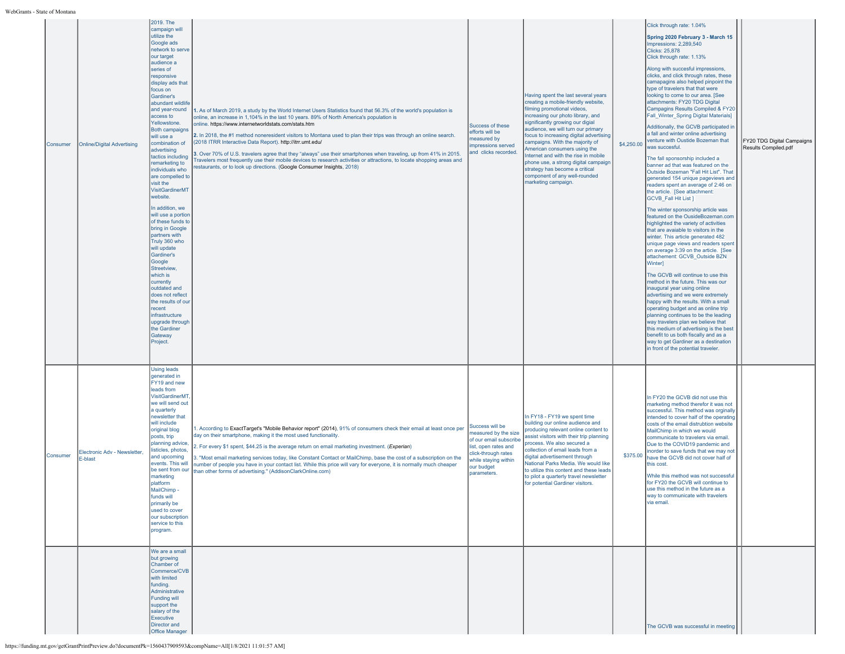| Consumer | <b>Online/Digital Advertising</b>       | 2019. The<br>campaign will<br>utilize the<br>Google ads<br>network to serve<br>our target<br>audience a<br>series of<br>responsive<br>display ads that<br>focus on<br>Gardiner's<br>abundant wildlife<br>and year-round<br>access to<br>Yellowstone.<br><b>Both campaigns</b><br>will use a<br>combination of<br>advertising<br>tactics including<br>remarketing to<br>individuals who<br>are compelled to<br>visit the<br><b>VisitGardinerMT</b><br>website.<br>In addition, we<br>will use a portion<br>of these funds to<br>bring in Google<br>partners with<br>Truly 360 who<br>will update<br>Gardiner's<br>Google<br>Streetview,<br>which is<br>currently<br>outdated and<br>does not reflect<br>the results of ou<br>ecent<br>infrastructure<br>upgrade through<br>the Gardiner<br>Gateway<br>Project. | 1. As of March 2019, a study by the World Internet Users Statistics found that 56.3% of the world's population is<br>online, an increase in 1,104% in the last 10 years. 89% of North America's population is<br>online. https://www.internetworldstats.com/stats.htm<br>2. In 2018, the #1 method noneresident visitors to Montana used to plan their trips was through an online search.<br>(2018 ITRR Interactive Data Report). http://itrr.umt.edu/<br>3. Over 70% of U.S. travelers agree that they "always" use their smartphones when traveling, up from 41% in 2015.<br>ravelers most frequently use their mobile devices to research activities or attractions, to locate shopping areas and<br>estaurants, or to look up directions. (Google Consumer Insights, 2018) | Success of these<br>efforts will be<br>measured by<br>impressions served<br>and clicks recorded.                                                                      | Having spent the last several years<br>creating a mobile-friendly website,<br>filming promotional videos,<br>increasing our photo library, and<br>significantly growing our digial<br>audience, we will turn our primary<br>focus to increasing digital advertising<br>campaigns. With the majority of<br>American consumers using the<br>nternet and with the rise in mobile<br>phone use, a strong digital campaign<br>strategy has become a critical<br>component of any well-rounded<br>marketing campaign. | \$4,250.00 | Click through rate: 1.04%<br>Spring 2020 February 3 - March 15<br>Impressions: 2,289,540<br>Clicks: 25,878<br>Click through rate: 1.13%<br>Along with succesful impressions,<br>clicks, and click through rates, these<br>camapagins also helped pinpoint the<br>type of travelers that that were<br>looking to come to our area. [See<br>attachments: FY20 TDG Digital<br>Campagins Results Compiled & FY20<br>Fall Winter Spring Digital Materials]<br>Additionally, the GCVB participated in<br>a fall and winter online advertising<br>venture with Oustide Bozeman that<br>was succesful.<br>The fall sponsorship included a<br>banner ad that was featured on the<br>Outside Bozeman "Fall Hit List". That<br>generated 154 unique pageviews and<br>readers spent an average of 2:46 on<br>the article. [See attachment:<br>GCVB_Fall Hit List ]<br>The winter sponsorship article was<br>featured on the OusideBozeman.com<br>highlighted the variety of activities<br>that are avaiable to visitors in the<br>winter. This article generated 482<br>unique page views and readers spent<br>on average 3:39 on the article. [See<br>attachement: GCVB_Outside BZN<br>Winter]<br>The GCVB will continue to use this<br>method in the future. This was our<br>inaugural year using online<br>advertising and we were extremely<br>happy with the results. With a small<br>operating budget and as online trip<br>planning continues to be the leading<br>way travelers plan we believe that<br>this medium of advertising is the best<br>benefit to us both fiscally and as a<br>way to get Gardiner as a destination<br>in front of the potential traveler. | FY20 TDG Digital Campaigns<br>Results Compiled.pdf |
|----------|-----------------------------------------|---------------------------------------------------------------------------------------------------------------------------------------------------------------------------------------------------------------------------------------------------------------------------------------------------------------------------------------------------------------------------------------------------------------------------------------------------------------------------------------------------------------------------------------------------------------------------------------------------------------------------------------------------------------------------------------------------------------------------------------------------------------------------------------------------------------|---------------------------------------------------------------------------------------------------------------------------------------------------------------------------------------------------------------------------------------------------------------------------------------------------------------------------------------------------------------------------------------------------------------------------------------------------------------------------------------------------------------------------------------------------------------------------------------------------------------------------------------------------------------------------------------------------------------------------------------------------------------------------------|-----------------------------------------------------------------------------------------------------------------------------------------------------------------------|-----------------------------------------------------------------------------------------------------------------------------------------------------------------------------------------------------------------------------------------------------------------------------------------------------------------------------------------------------------------------------------------------------------------------------------------------------------------------------------------------------------------|------------|-------------------------------------------------------------------------------------------------------------------------------------------------------------------------------------------------------------------------------------------------------------------------------------------------------------------------------------------------------------------------------------------------------------------------------------------------------------------------------------------------------------------------------------------------------------------------------------------------------------------------------------------------------------------------------------------------------------------------------------------------------------------------------------------------------------------------------------------------------------------------------------------------------------------------------------------------------------------------------------------------------------------------------------------------------------------------------------------------------------------------------------------------------------------------------------------------------------------------------------------------------------------------------------------------------------------------------------------------------------------------------------------------------------------------------------------------------------------------------------------------------------------------------------------------------------------------------------------------------------------------------------------------------------------|----------------------------------------------------|
| Consumer | Electronic Adv - Newsletter,<br>E-blast | <b>Using leads</b><br>generated in<br>FY19 and new<br>leads from<br><b>VisitGardinerMT</b><br>we will send out<br>a quarterly<br>newsletter that<br>will include<br>original blog<br>posts, trip<br>planning advice<br>isticles, photos,<br>and upcoming<br>events. This will<br>be sent from our<br>marketing<br>platform<br>MailChimp-<br>funds will<br>primarily be<br>used to cover<br>our subscription<br>service to this<br>program.                                                                                                                                                                                                                                                                                                                                                                    | 1. According to ExactTarget's "Mobile Behavior report" (2014), 91% of consumers check their email at least once per<br>day on their smartphone, making it the most used functionality.<br>2. For every \$1 spent, \$44.25 is the average return on email marketing investment. (Experian)<br>3. "Most email marketing services today, like Constant Contact or MailChimp, base the cost of a subscription on the<br>number of people you have in your contact list. While this price will vary for everyone, it is normally much cheaper<br>than other forms of advertising." (AddisonClarkOnline.com)                                                                                                                                                                          | Success will be<br>measured by the size<br>of our email subscribe<br>list, open rates and<br>click-through rates<br>while staying within<br>our budget<br>parameters. | In FY18 - FY19 we spent time<br>building our online audience and<br>producing relevant online content to<br>issist visitors with their trip planning<br>process. We also secured a<br>collection of email leads from a<br>digital advertisement through<br>National Parks Media. We would like<br>to utilize this content and these leads<br>to pilot a quarterly travel newsletter<br>for potential Gardiner visitors.                                                                                         | \$375.00   | In FY20 the GCVB did not use this<br>marketing method therefor it was not<br>successful. This method was orginally<br>intended to cover half of the operating<br>costs of the email distrubtion website<br>MailChimp in which we would<br>communicate to travelers via email.<br>Due to the COVID19 pandemic and<br>inorder to save funds that we may not<br>have the GCVB did not cover half of<br>this cost.<br>While this method was not successful<br>for FY20 the GCVB will continue to<br>use this method in the future as a<br>way to communicate with travelers<br>via email.                                                                                                                                                                                                                                                                                                                                                                                                                                                                                                                                                                                                                                                                                                                                                                                                                                                                                                                                                                                                                                                                             |                                                    |
|          |                                         | We are a small<br>but growing<br>Chamber of<br>Commerce/CVB<br>with limited<br>funding.<br>Administrative<br>Funding will<br>support the<br>salary of the<br>Executive<br>Director and<br>Office Manager                                                                                                                                                                                                                                                                                                                                                                                                                                                                                                                                                                                                      |                                                                                                                                                                                                                                                                                                                                                                                                                                                                                                                                                                                                                                                                                                                                                                                 |                                                                                                                                                                       |                                                                                                                                                                                                                                                                                                                                                                                                                                                                                                                 |            | The GCVB was successful in meeting                                                                                                                                                                                                                                                                                                                                                                                                                                                                                                                                                                                                                                                                                                                                                                                                                                                                                                                                                                                                                                                                                                                                                                                                                                                                                                                                                                                                                                                                                                                                                                                                                                |                                                    |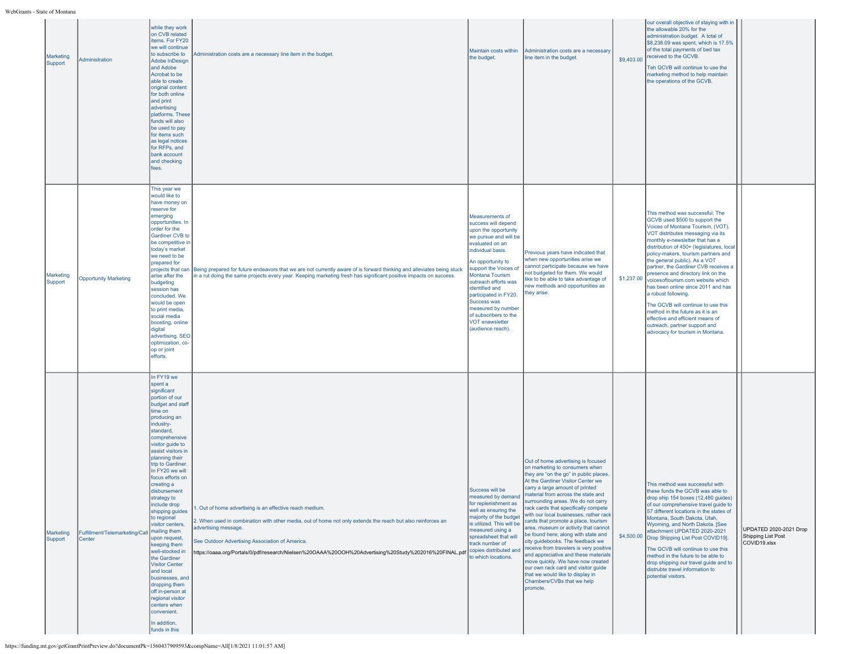| Marketing<br>Support | Administration                           | while they work<br>on CVB related<br>items. For FY20<br>we will continue<br>to subscribe to<br>Adobe InDesign<br>and Adobe<br>Acrobat to be<br>able to create<br>original content<br>for both online<br>and print<br>advertising<br>platforms. These<br>funds will also<br>be used to pay<br>for items such<br>as legal notices<br>for RFPs, and<br>bank account<br>and checking<br>fees.                                                                                                                                                                                                                                                                         | Administration costs are a necessary line item in the budget.                                                                                                                                                                                                                                                                                                                     | Maintain costs within<br>the budget.                                                                                                                                                                                                                                                                                                                                             | Administration costs are a necessary<br>line item in the budget.                                                                                                                                                                                                                                                                                                                                                                                                                                                                                                                                                                                                                                                                                            | \$9,403.00 | our overall objective of staying with in<br>the allowable 20% for the<br>administration budget. A total of<br>\$8,238.09 was spent, which is 17.5%<br>of the total payments of bed tax<br>received to the GCVB.<br>Teh GCVB will continue to use the<br>marketing method to help maintain<br>the operations of the GCVB.                                                                                                                                                                                                                                                                                                                                               |                                                              |
|----------------------|------------------------------------------|-------------------------------------------------------------------------------------------------------------------------------------------------------------------------------------------------------------------------------------------------------------------------------------------------------------------------------------------------------------------------------------------------------------------------------------------------------------------------------------------------------------------------------------------------------------------------------------------------------------------------------------------------------------------|-----------------------------------------------------------------------------------------------------------------------------------------------------------------------------------------------------------------------------------------------------------------------------------------------------------------------------------------------------------------------------------|----------------------------------------------------------------------------------------------------------------------------------------------------------------------------------------------------------------------------------------------------------------------------------------------------------------------------------------------------------------------------------|-------------------------------------------------------------------------------------------------------------------------------------------------------------------------------------------------------------------------------------------------------------------------------------------------------------------------------------------------------------------------------------------------------------------------------------------------------------------------------------------------------------------------------------------------------------------------------------------------------------------------------------------------------------------------------------------------------------------------------------------------------------|------------|------------------------------------------------------------------------------------------------------------------------------------------------------------------------------------------------------------------------------------------------------------------------------------------------------------------------------------------------------------------------------------------------------------------------------------------------------------------------------------------------------------------------------------------------------------------------------------------------------------------------------------------------------------------------|--------------------------------------------------------------|
| Marketing<br>Support | <b>Opportunity Marketing</b>             | This year we<br>would like to<br>have money on<br>reserve for<br>emerging<br>opportunities. In<br>order for the<br>Gardiner CVB to<br>be competitive in<br>today's market<br>we need to be<br>prepared for<br>projects that can<br>arise after the<br>budgeting<br>session has<br>concluded. We<br>would be open<br>to print media.<br>social media<br>boosting, online<br>digital<br>advertising, SEO<br>optimization, co-<br>op or joint<br>efforts.                                                                                                                                                                                                            | Being prepared for future endeavors that we are not currently aware of is forward thinking and alleviates being stuck<br>in a rut doing the same projects every year. Keeping marketing fresh has significant positive impacts on success.                                                                                                                                        | Measurements of<br>success will depend<br>upon the opportunity<br>we pursue and will be<br>evaluated on an<br>individual basis.<br>An opportunity to<br>support the Voices of<br>Montana Tourism<br>outreach efforts was<br>identified and<br>participated in FY20.<br>Success was<br>measured by number<br>of subscribers to the<br><b>VOT enewsletter</b><br>(audience reach). | Previous vears have indicated that<br>when new opportunities arise we<br>cannot participate because we have<br>not budgeted for them. We would<br>like to be able to take advantage of<br>new methods and opportunities as<br>they arise.                                                                                                                                                                                                                                                                                                                                                                                                                                                                                                                   | \$1,237.00 | This method was successful. The<br>GCVB used \$500 to support the<br>Voices of Montana Tourism, (VOT).<br>VOT distributes messaging via its<br>monthly e-newsletter that has a<br>distribution of 450+ (legislatures, local<br>policy-makers, tourism partners and<br>the general public). As a VOT<br>partner, the Gardiner CVB receives a<br>presence and directory link on the<br>voicesoftourism.com website which<br>has been online since 2011 and has<br>a robust following.<br>The GCVB will continue to use this<br>method in the future as it is an<br>effective and efficient means of<br>outreach, partner support and<br>advocacy for tourism in Montana. |                                                              |
| Marketing<br>Support | Fulfillment/Telemarketing/Call<br>Center | In FY19 we<br>spent a<br>significant<br>portion of our<br>budget and staff<br>time on<br>producing an<br>industry-<br>standard,<br>comprehensive<br>visitor guide to<br>assist visitors in<br>planning their<br>trip to Gardiner.<br>In FY20 we will<br>focus efforts on<br>creating a<br>disbursement<br>strategy to<br>include drop<br>shipping guides<br>to regional<br>visitor centers,<br>mailing them<br>upon request,<br>keeping them<br>well-stocked in<br>the Gardiner<br><b>Visitor Center</b><br>and local<br>businesses, and<br>dropping them<br>off in-person at<br>regional visitor<br>centers when<br>convenient.<br>In addition,<br>funds in this | . Out of home advertising is an effective reach medium.<br>2. When used in combination with other media, out of home not only extends the reach but also reinforces an<br>advertising message.<br>See Outdoor Advertising Association of America.<br>https://oaaa.org/Portals/0/pdf/research/Nielsen%20OAAA%20OOH%20Advertising%20Study%202016%20FINAL.pdf Copies distributed and | Success will be<br>measured by demand<br>for replenishment as<br>well as ensuring the<br>majority of the budget<br>is utilized. This will be<br>measured using a<br>spreadsheet that will<br>track number of<br>to which locations.                                                                                                                                              | Out of home advertising is focused<br>on marketing to consumers when<br>they are "on the go" in public places.<br>At the Gardiner Visitor Center we<br>carry a large amount of printed<br>haterial from across the state and<br>surrounding areas. We do not carry<br>rack cards that specifically compete<br>with our local businesses, rather rack<br>cards that promote a place, tourism<br>area, museum or activity that cannot<br>be found here; along with state and<br>city guidebooks. The feedback we<br>receive from travelers is very positive<br>and appreciative and these materials<br>move quickly. We have now created<br>our own rack card and visitor guide<br>that we would like to display in<br>Chambers/CVBs that we help<br>promote. |            | This method was successful with<br>these funds the GCVB was able to<br>drop ship 154 boxes (12,480 guides)<br>of our comprehensive travel guide to<br>57 different locations in the states of<br>Montana, South Dakota, Utah,<br>Wyoming, and North Dakota. [See<br>attachment UPDATED 2020-2021<br>\$4,500.00 Drop Shipping List Post COVID19].<br>The GCVB will continue to use this<br>method in the future to be able to<br>drop shipping our travel guide and to<br>distrubte travel information to<br>potential visitors.                                                                                                                                        | UPDATED 2020-2021 Drop<br>Shipping List Post<br>COVID19.xlsx |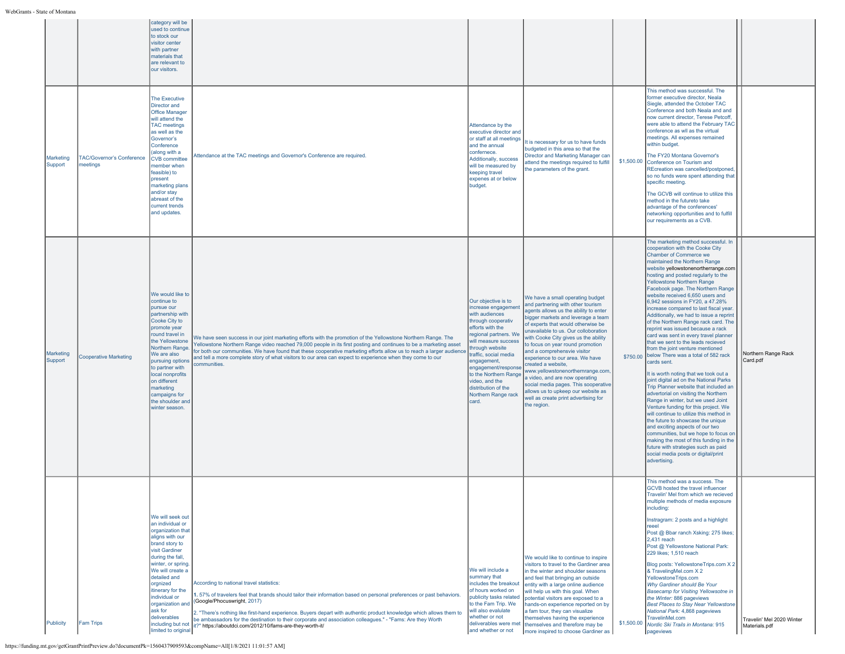|                      |                                       | category will be<br>used to continue<br>to stock our<br>visitor center<br>with partner<br>materials that<br>are relevant to<br>our visitors.                                                                                                                                                                                                |                                                                                                                                                                                                                                                                                                                                                                                                                                                                                                   |                                                                                                                                                                                                                                                                                                                                            |                                                                                                                                                                                                                                                                                                                                                                                                                                                                                                                                                                                                                    |            |                                                                                                                                                                                                                                                                                                                                                                                                                                                                                                                                                                                                                                                                                                                                                                                                                                                                                                                                                                                                                                                                                                                                                                                                                                                                    |                                            |
|----------------------|---------------------------------------|---------------------------------------------------------------------------------------------------------------------------------------------------------------------------------------------------------------------------------------------------------------------------------------------------------------------------------------------|---------------------------------------------------------------------------------------------------------------------------------------------------------------------------------------------------------------------------------------------------------------------------------------------------------------------------------------------------------------------------------------------------------------------------------------------------------------------------------------------------|--------------------------------------------------------------------------------------------------------------------------------------------------------------------------------------------------------------------------------------------------------------------------------------------------------------------------------------------|--------------------------------------------------------------------------------------------------------------------------------------------------------------------------------------------------------------------------------------------------------------------------------------------------------------------------------------------------------------------------------------------------------------------------------------------------------------------------------------------------------------------------------------------------------------------------------------------------------------------|------------|--------------------------------------------------------------------------------------------------------------------------------------------------------------------------------------------------------------------------------------------------------------------------------------------------------------------------------------------------------------------------------------------------------------------------------------------------------------------------------------------------------------------------------------------------------------------------------------------------------------------------------------------------------------------------------------------------------------------------------------------------------------------------------------------------------------------------------------------------------------------------------------------------------------------------------------------------------------------------------------------------------------------------------------------------------------------------------------------------------------------------------------------------------------------------------------------------------------------------------------------------------------------|--------------------------------------------|
| Marketing<br>Support | TAC/Governor's Conference<br>meetings | <b>The Executive</b><br>Director and<br><b>Office Manager</b><br>will attend the<br><b>TAC</b> meetings<br>as well as the<br>Governor's<br>Conference<br>(along with a<br><b>CVB</b> committee<br>member when<br>feasible) to<br>present<br>marketing plans<br>and/or stay<br>abreast of the<br>current trends<br>and updates.              | Attendance at the TAC meetings and Governor's Conference are required.                                                                                                                                                                                                                                                                                                                                                                                                                            | Attendance by the<br>executive director and<br>or staff at all meetings<br>and the annual<br>confernece.<br>Additionally, success<br>will be measured by<br>keeping travel<br>expenes at or below<br>budget.                                                                                                                               | t is necessary for us to have funds<br>budgeted in this area so that the<br>Director and Marketing Manager can<br>attend the meetings required to fulfill<br>the parameters of the grant.                                                                                                                                                                                                                                                                                                                                                                                                                          | \$1,500.00 | This method was successful. The<br>former executive director. Neala<br>Siegle, attended the October TAC<br>Conference and both Neala and and<br>now current director, Terese Petcoff,<br>were able to attend the February TAC<br>conference as wll as the virtual<br>meetings. All expenses remained<br>within budget.<br>The FY20 Montana Governor's<br>Conference on Tourism and<br>REcreation was cancelled/postponed,<br>so no funds were spent attending that<br>specific meeting.<br>The GCVB will continue to utilize this<br>method in the futureto take<br>advantage of the conferences'<br>networking opportunities and to fulfill<br>our requirements as a CVB.                                                                                                                                                                                                                                                                                                                                                                                                                                                                                                                                                                                         |                                            |
| Marketing<br>Support | <b>Cooperative Marketing</b>          | We would like to<br>continue to<br>pursue our<br>partnership with<br>Cooke City to<br>promote year<br>round travel in<br>the Yellowstone<br>Northern Range<br>We are also<br>pursuing options<br>to partner with<br>local nonprofits<br>on different<br>marketing<br>campaigns for<br>the shoulder and<br>winter season.                    | We have seen success in our joint marketing efforts with the promotion of the Yellowstone Northern Range. The<br>fellowstone Northern Range video reached 79,000 people in its first posting and continues to be a marketing asset<br>for both our communities. We have found that these cooperative marketing efforts allow us to reach a larger audience<br>and tell a more complete story of what visitors to our area can expect to experience when they come to our<br>communities.          | Our objective is to<br>increase engagement<br>with audiences<br>through cooperativ<br>efforts with the<br>regional partners. We<br>will measure success<br>hrough website<br>traffic, social media<br>engagement,<br>engagement/response<br>to the Northern Range<br>video, and the<br>distribution of the<br>Northern Range rack<br>card. | We have a small operating budget<br>and partnering with other tourism<br>agents allows us the ability to enter<br>bigger markets and leverage a team<br>of experts that would otherwise be<br>unavailable to us. Our colloboration<br>with Cooke City gives us the ability<br>to focus on year round promotion<br>and a comprehensvie visitor<br>experience to our area. We have<br>created a website,<br>www.yellowstonenorthernrange.com,<br>a video, and are now operating<br>social media pages. This sooperative<br>allows us to upkeep our website as<br>vell as create print advertising for<br>the region. |            | The marketing method successful. In<br>cooperation with the Cooke City<br>Chamber of Commerce we<br>maintained the Northern Range<br>website yellowstonenortherrange.com<br>hosting and posted regularly to the<br>Yellowstone Northern Range<br>Facebook page. The Northern Range<br>website received 6,650 users and<br>6,942 sessions in FY20, a 47.28%<br>increase compared to last fiscal year<br>Additionally, we had to issue a reprint<br>of the Northern Range rack card. The<br>reprint was issued because a rack<br>card was sent in every travel planner<br>that we sent to the leads recieved<br>from the joint venture mentioned<br>\$750.00 below There was a total of 582 rack<br>cards sent.<br>It is worth noting that we took out a<br>joint digital ad on the National Parks<br>Trip Planner website that included an<br>advertorial on visiting the Northern<br>Range in winter, but we used Joint<br>Venture funding for this project. We<br>will continue to utilize this method in<br>the future to showcase the unique<br>and exciting aspects of our two<br>communities, but we hope to focus on<br>making the most of this funding in the<br>future with strategies such as paid<br>social media posts or digital/print<br>advertising. | Northern Range Rack<br>Card.pdf            |
| Publicity            | <b>Fam Trips</b>                      | We will seek out<br>an individual or<br>organization that<br>aligns with our<br>brand story to<br>visit Gardiner<br>during the fall,<br>winter, or spring.<br>We will create a<br>detailed and<br>orgnized<br>itinerary for the<br>individual or<br>organization and<br>ask for<br>deliverables<br>including but not<br>limited to original | According to national travel statistics:<br>. 57% of travelers feel that brands should tailor their information based on personal preferences or past behaviors.<br>(Google/Phocuswright, 2017)<br>2. "There's nothing like first-hand experience. Buyers depart with authentic product knowledge which allows them to<br>be ambassadors for the destination to their corporate and association colleagues." - "Fams: Are they Worth<br>it?" https://aboutdci.com/2012/10/fams-are-thev-worth-it/ | We will include a<br>summary that<br>includes the breakout<br>of hours worked on<br>publicity tasks related<br>to the Fam Trip. We<br>will also evalulate<br>whether or not<br>and whether or not                                                                                                                                          | We would like to continue to inspire<br>visitors to travel to the Gardiner area<br>in the winter and shoulder seasons<br>and feel that bringing an outside<br>entity with a large online audience<br>will help us with this goal. When<br>potential visitors are exposed to a<br>hands-on experience reported on by<br>a fam tour, thev can visualize<br>themselves having the experience<br>deliverables were met themselves and therefore may be<br>more inspired to choose Gardiner as                                                                                                                          | \$1,500.00 | This method was a success. The<br><b>GCVB</b> hosted the travel influencer<br>Travelin' Mel from which we recieved<br>nultiple methods of media exposui<br>including:<br>Instragram: 2 posts and a highlight<br>Post @ Bbar ranch Xsking: 275 likes;<br>2.431 reach<br>Post @ Yellowstone National Park:<br>229 likes: 1.510 reach<br>Blog posts: YellowstoneTrips.com X 2<br>& TravelingMel.com X 2<br>YellowstoneTrips.com<br>Why Gardiner should Be Your<br>Basecamp for Visiting Yellowsotne in<br>the Winter: 886 pageviews<br><b>Best Places to Stay Near Yellowstone</b><br>National Park: 4,868 pageviews<br>TravelinMel.com<br>Nordic Ski Trails in Montana: 915<br>pageviews                                                                                                                                                                                                                                                                                                                                                                                                                                                                                                                                                                             | Travelin' Mel 2020 Winter<br>Materials.pdf |

https://funding.mt.gov/getGrantPrintPreview.do?documentPk=1560437909593&compName=All[1/8/2021 11:01:57 AM]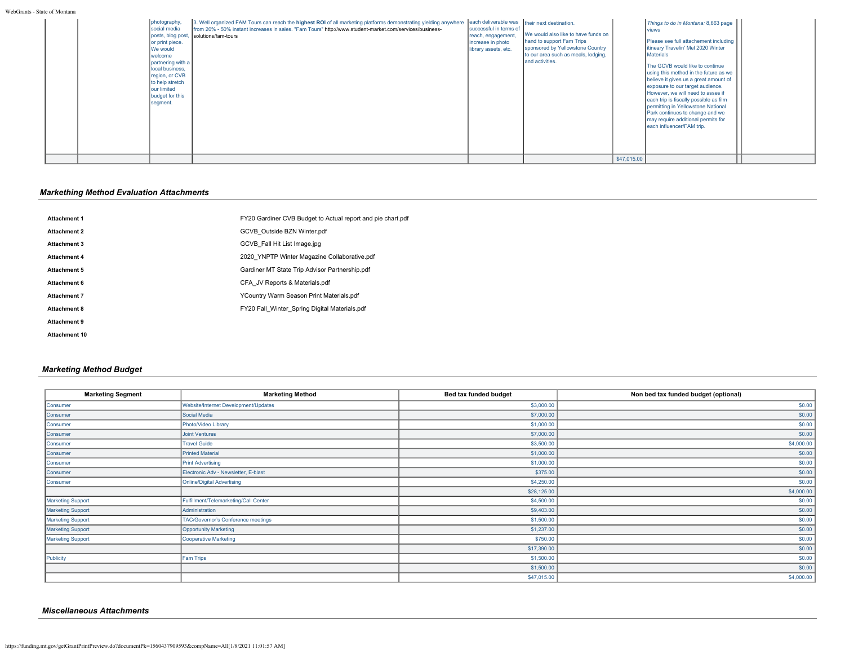WebGrants - State of Montana

| photography<br>social media<br>or print piece.<br>We would<br>welcome<br>partnering with a<br>local business,<br>region, or CVB<br>to help stretch<br>our limited<br>budget for this<br>segment. | 3. Well organized FAM Tours can reach the highest ROI of all marketing platforms demonstrating yielding anywhere each deliverable was their next destination.<br>from 20% - 50% instant increases in sales. "Fam Tours" http://www.student-market.com/services/business-<br>posts, blog post, solutions/fam-tours | successful in terms of<br>reach, engagement,<br>increase in photo<br>library assets, etc. | We would also like to have funds on<br>hand to support Fam Trips<br>sponsored by Yellowstone Country<br>to our area such as meals, lodging,<br>and activities. |             | Things to do in Montana: 8,663 page<br><b>I</b> views<br>Please see full attachement including<br>litineary Travelin' Mel 2020 Winter<br><b>Materials</b><br>The GCVB would like to continue<br>using this method in the future as we<br>believe it gives us a great amount of<br>exposure to our target audience.<br>However, we will need to asses if<br>each trip is fiscally possible as film<br>permitting in Yellowstone National<br>Park continues to change and we<br>may require additional permits for<br>leach influencer/FAM trip. |  |
|--------------------------------------------------------------------------------------------------------------------------------------------------------------------------------------------------|-------------------------------------------------------------------------------------------------------------------------------------------------------------------------------------------------------------------------------------------------------------------------------------------------------------------|-------------------------------------------------------------------------------------------|----------------------------------------------------------------------------------------------------------------------------------------------------------------|-------------|------------------------------------------------------------------------------------------------------------------------------------------------------------------------------------------------------------------------------------------------------------------------------------------------------------------------------------------------------------------------------------------------------------------------------------------------------------------------------------------------------------------------------------------------|--|
|                                                                                                                                                                                                  |                                                                                                                                                                                                                                                                                                                   |                                                                                           |                                                                                                                                                                | \$47,015.00 |                                                                                                                                                                                                                                                                                                                                                                                                                                                                                                                                                |  |

# *Markething Method Evaluation Attachments*

| <b>Attachment 1</b>  | FY20 Gardiner CVB Budget to Actual report and pie chart.pdf |
|----------------------|-------------------------------------------------------------|
| <b>Attachment 2</b>  | GCVB Outside BZN Winter.pdf                                 |
| <b>Attachment 3</b>  | GCVB Fall Hit List Image.jpg                                |
| <b>Attachment 4</b>  | 2020 YNPTP Winter Magazine Collaborative.pdf                |
| <b>Attachment 5</b>  | Gardiner MT State Trip Advisor Partnership.pdf              |
| <b>Attachment 6</b>  | CFA JV Reports & Materials.pdf                              |
| <b>Attachment 7</b>  | YCountry Warm Season Print Materials.pdf                    |
| <b>Attachment 8</b>  | FY20 Fall Winter Spring Digital Materials.pdf               |
| <b>Attachment 9</b>  |                                                             |
| <b>Attachment 10</b> |                                                             |
|                      |                                                             |

# *Marketing Method Budget*

| <b>Marketing Segment</b> | <b>Marketing Method</b>               | Bed tax funded budget | Non bed tax funded budget (optional) |
|--------------------------|---------------------------------------|-----------------------|--------------------------------------|
| Consumer                 | Website/Internet Development/Updates  | \$3,000.00            | \$0.00                               |
| Consumer                 | Social Media                          | \$7,000.00            | \$0.00                               |
| Consumer                 | Photo/Video Library                   | \$1,000.00            | \$0.00                               |
| Consumer                 | <b>Joint Ventures</b>                 | \$7,000.00            | \$0.00                               |
| Consumer                 | <b>Travel Guide</b>                   | \$3,500.00            | \$4,000.00                           |
| Consumer                 | <b>Printed Material</b>               | \$1,000.00            | \$0.00                               |
| Consumer                 | <b>Print Advertising</b>              | \$1,000.00            | \$0.00                               |
| Consumer                 | Electronic Adv - Newsletter, E-blast  | \$375.00              | \$0.00                               |
| Consumer                 | <b>Online/Digital Advertising</b>     | \$4,250.00            | \$0.00                               |
|                          |                                       | \$28,125.00           | \$4,000.00                           |
| <b>Marketing Support</b> | Fulfillment/Telemarketing/Call Center | \$4,500.00            | \$0.00                               |
| Marketing Support        | Administration                        | \$9,403.00            | \$0.00                               |
| Marketing Support        | TAC/Governor's Conference meetings    | \$1,500.00            | \$0.00                               |
| <b>Marketing Support</b> | <b>Opportunity Marketing</b>          | \$1,237.00            | \$0.00                               |
| <b>Marketing Support</b> | <b>Cooperative Marketing</b>          | \$750.00              | \$0.00                               |
|                          |                                       | \$17,390.00           | \$0.00                               |
| Publicity                | Fam Trips                             | \$1,500.00            | \$0.00                               |
|                          |                                       | \$1,500.00            | \$0.00                               |
|                          |                                       | \$47,015.00           | \$4,000.00                           |

# *Miscellaneous Attachments*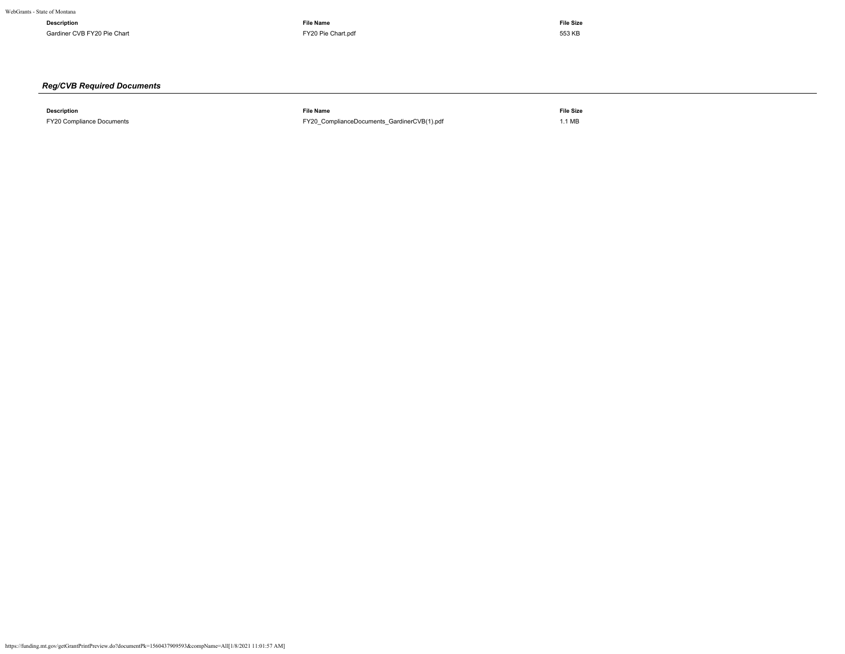**Description File Name File Size** Gardiner CVB FY20 Pie Chart 653 KB Cardiner CVB [FY20 Pie Chart.pdf](https://funding.mt.gov/fileDownload.jsp?filename=1556135711579_FY20+Pie+Chart.pdf) 553 KB Chart.pdf 553 KB Chart.pdf 553 KB Chart.pdf 553 KB Chart.pdf 553 KB Chart.pdf 553 KB Chart.pdf 553 KB Chart.pdf 553 KB Chart.pdf 553 KB Chart.pdf 55

# *Reg/CVB Required Documents*

**Description File Name File Size** FY20 Compliance Documents [FY20\\_ComplianceDocuments\\_GardinerCVB\(1\).pdf](https://funding.mt.gov/fileDownload.jsp?filename=1556128341284_FY20_ComplianceDocuments_GardinerCVB%281%29.pdf) 1.1 MB